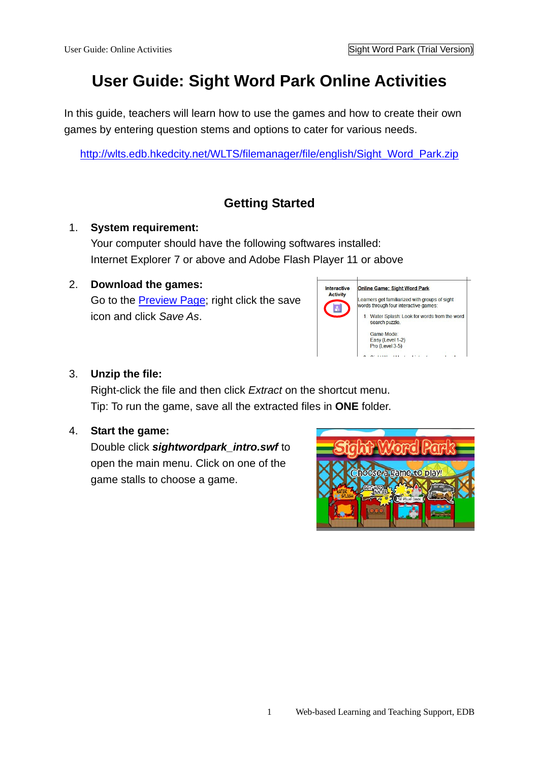# **User Guide: Sight Word Park Online Activities**

In this guide, teachers will learn how to use the games and how to create their own games by entering question stems and options to cater for various needs.

http://wlts.edb.hkedcity.net/WLTS/filemanager/file/english/Sight\_Word\_Park.zip

## **Getting Started**

### 1. **System requirement:**

Your computer should have the following softwares installed: Internet Explorer 7 or above and Adobe Flash Player 11 or above

## 2. **Download the games:**

Go to the **Preview Page**; right click the save icon and click *Save As*.



## 3. **Unzip the file:**

Right-click the file and then click *Extract* on the shortcut menu. Tip: To run the game, save all the extracted files in **ONE** folder.

## 4. **Start the game:**

Double click *sightwordpark\_intro.swf* to open the main menu. Click on one of the game stalls to choose a game.

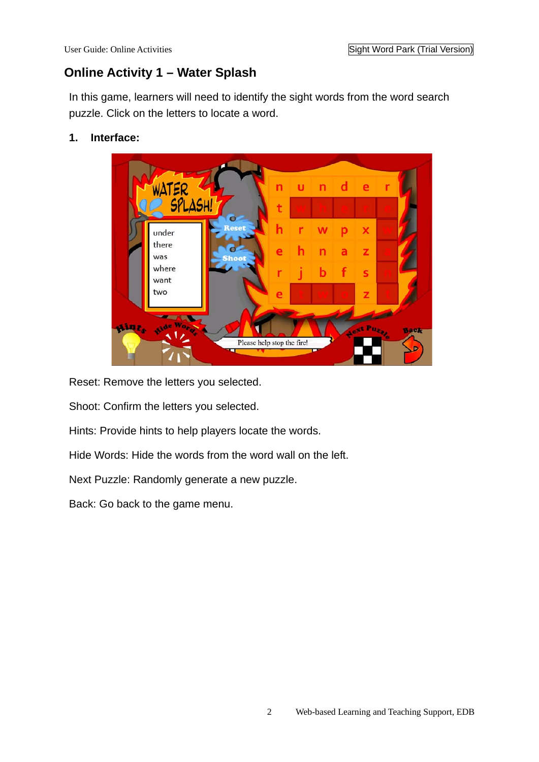## **Online Activity 1 – Water Splash**

In this game, learners will need to identify the sight words from the word search puzzle. Click on the letters to locate a word.

#### **1. Interface:**



Reset: Remove the letters you selected.

Shoot: Confirm the letters you selected.

Hints: Provide hints to help players locate the words.

Hide Words: Hide the words from the word wall on the left.

Next Puzzle: Randomly generate a new puzzle.

Back: Go back to the game menu.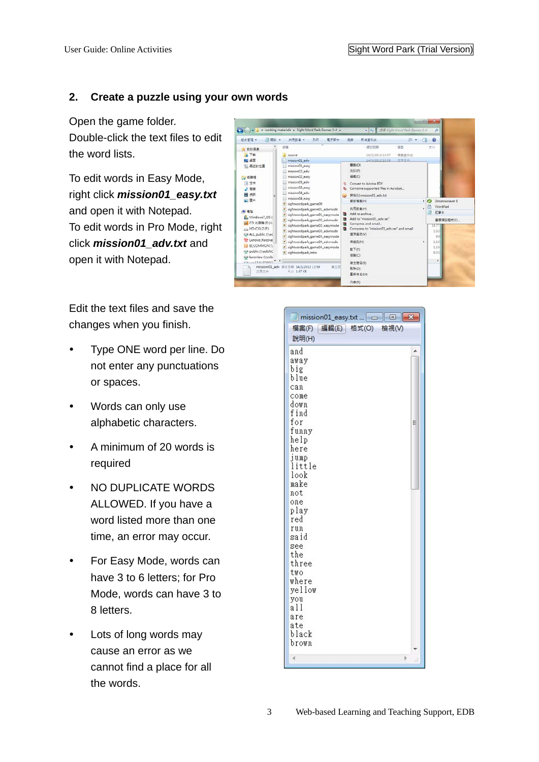#### **2. Create a puzzle using your own words**

Open the game folder. Double-click the text files to edit the word lists.

To edit words in Easy Mode, right click *mission01\_easy.txt* and open it with Notepad. To edit words in Pro Mode, right click *mission01\_adv.txt* and open it with Notepad.

Edit the text files and save the changes when you finish.

- Type ONE word per line. Do not enter any punctuations or spaces.
- Words can only use alphabetic characters.
- A minimum of 20 words is required
- NO DUPLICATE WORDS ALLOWED. If you have a word listed more than one time, an error may occur.
- For Easy Mode, words can have 3 to 6 letters; for Pro Mode, words can have 3 to 8 letters.
- Lots of long words may cause an error as we cannot find a place for all the words.



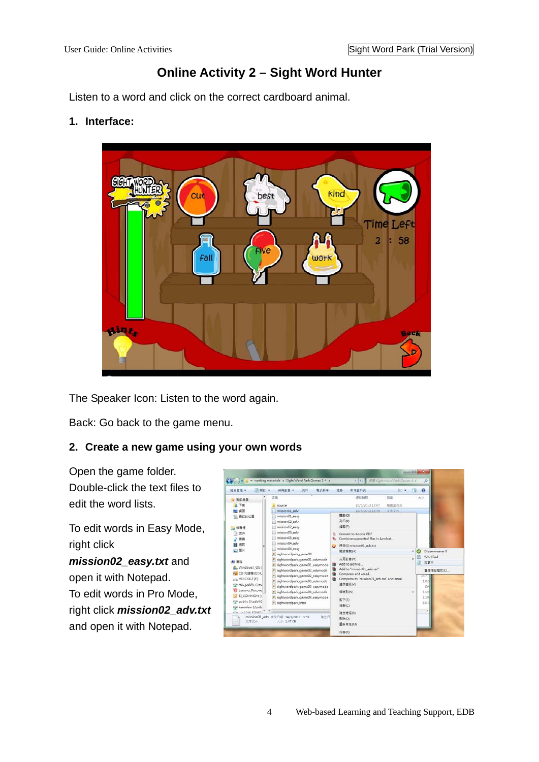## **Online Activity 2 – Sight Word Hunter**

Listen to a word and click on the correct cardboard animal.

#### **1. Interface:**



The Speaker Icon: Listen to the word again.

Back: Go back to the game menu.

#### **2. Create a new game using your own words**

Open the game folder. Double-click the text files to edit the word lists.

To edit words in Easy Mode, right click

*mission02\_easy.txt* and open it with Notepad. To edit words in Pro Mode, right click *mission02\_adv.txt* and open it with Notepad.

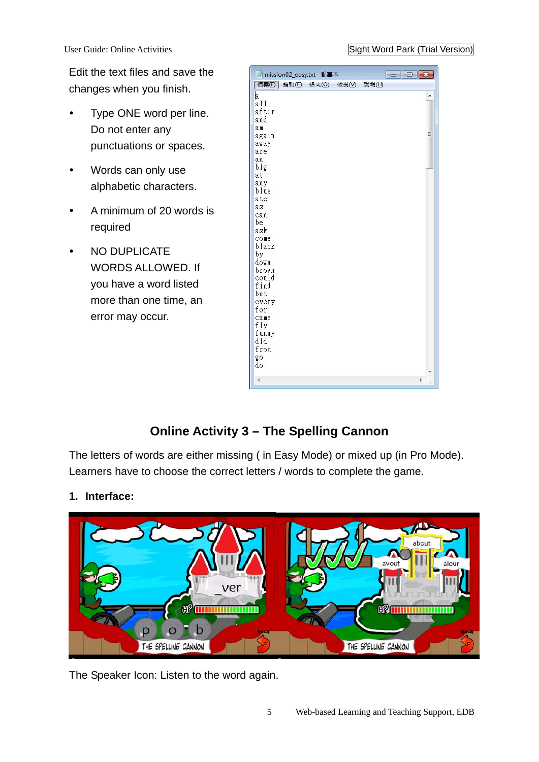User Guide: Online Activities Sight Word Park (Trial Version)

Edit the text files and save the changes when you finish.

- Type ONE word per line. Do not enter any punctuations or spaces.
- Words can only use alphabetic characters.
- A minimum of 20 words is required
- NO DUPLICATE WORDS ALLOWED. If you have a word listed more than one time, an error may occur.



## **Online Activity 3 – The Spelling Cannon**

The letters of words are either missing ( in Easy Mode) or mixed up (in Pro Mode). Learners have to choose the correct letters / words to complete the game.

## **1. Interface:**



The Speaker Icon: Listen to the word again.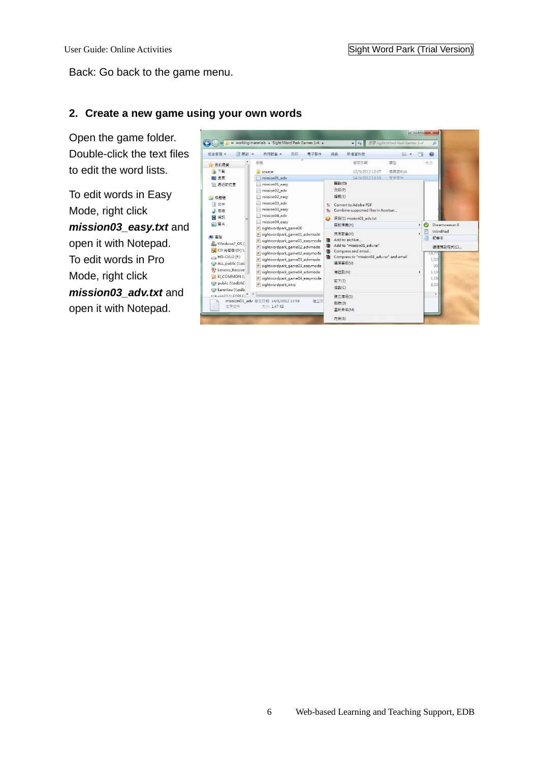#### Back: Go back to the game menu.

#### **2. Create a new game using your own words**

Open the game folder. Double-click the text files to edit the word lists.

To edit words in Easy Mode, right click *mission03\_easy.txt* and open it with Notepad. To edit words in Pro Mode, right click *mission03\_adv.txt* and open it with Notepad.

| ■開啟 ▼<br>组合管理 ▼                                                                                                  | 列印<br>共用對象 ▼<br>電子郵件                                                                                                                                                                            |                  | 新增資料來<br>燒綠                                                                                                                           | 图 ▼           | FI | 0                                                         |
|------------------------------------------------------------------------------------------------------------------|-------------------------------------------------------------------------------------------------------------------------------------------------------------------------------------------------|------------------|---------------------------------------------------------------------------------------------------------------------------------------|---------------|----|-----------------------------------------------------------|
| ☆ 我的最愛                                                                                                           | 名稱                                                                                                                                                                                              |                  | 修改日期                                                                                                                                  | 頭型            |    | 大小                                                        |
| 下戰<br>桌面                                                                                                         | source<br>mission01 adv                                                                                                                                                                         |                  | 10/5/2012 12:07<br>14/3/2012 13:59                                                                                                    | 榴露管料夾<br>文字文件 |    |                                                           |
| 最近的位置                                                                                                            | mission01_easy<br>mission02 adv                                                                                                                                                                 |                  | 開啟(O)<br>列印(P)                                                                                                                        |               |    |                                                           |
| mission02_easy<br>媒體櫃<br>mission03 adv<br>文件<br>F.<br>音笔                                                         | mission03_easy                                                                                                                                                                                  | ÷.<br>t.         | 編輯(E)<br>Convert to Adobe PDF<br>Combine supported files in Acrobat                                                                   |               |    |                                                           |
| 規訊                                                                                                               | mission04 adv                                                                                                                                                                                   | $\mathbf \Omega$ | 掃描(S) mission01 adv.txt                                                                                                               |               |    |                                                           |
| 圖片                                                                                                               | mission04 easy                                                                                                                                                                                  |                  | 開啟檔案(H)                                                                                                                               |               | ٠  | $\bm{\bm{\epsilon}}$<br>Dreamweaver 8                     |
| sightwordpark game00<br>電腦<br>Windows7_OS (<br>CD 光碟機 (D:) U<br>HD-CXU2 (F:)<br>$\rightarrow$<br>ALL public (Nec | sightwordpark_game01_advmode<br>sightwordpark game01 easymode<br>sightwordpark_game02_advmode<br>sightwordpark game02 easymode<br>sightwordpark_game03_advmode<br>sightwordpark game03 easymode | €<br>建<br>€<br>建 | 共用對象(H)<br>Add to archive<br>Add to "mission01 adv.rar"<br>Compress and email<br>Compress to "mission01_adv.rar" and email<br>還原茜版(V) |               |    | 暦<br>WordPad<br>記事本<br>選擇預設程式(C)<br>14, 77<br>1,024<br>99 |
| ₩<br>Lenovo Recove                                                                                               | sightwordpark_game04_advmode<br>EI COMMON (<br>sightwordpark game04 easymode<br>ø<br>sightwordpark_intro                                                                                        |                  | 傳送到(N)<br>¥.                                                                                                                          |               |    | 1.19                                                      |
| public (\\edbfs(<br>karenlaw (Nedb)                                                                              |                                                                                                                                                                                                 |                  | 剪下门<br>複製(C)                                                                                                                          |               |    | 1,19<br>8,03                                              |
| a win22 AVENROEL<br>文字文件                                                                                         | mission01_adv 修改日期: 14/3/2012 13:59<br>建立日<br>大小: 1.47 KB                                                                                                                                       |                  | 建立捷徑(S)<br><b>刪除(D)</b><br>重新命名(M)                                                                                                    |               |    | ٠                                                         |
|                                                                                                                  |                                                                                                                                                                                                 |                  | 内容(R)                                                                                                                                 |               |    |                                                           |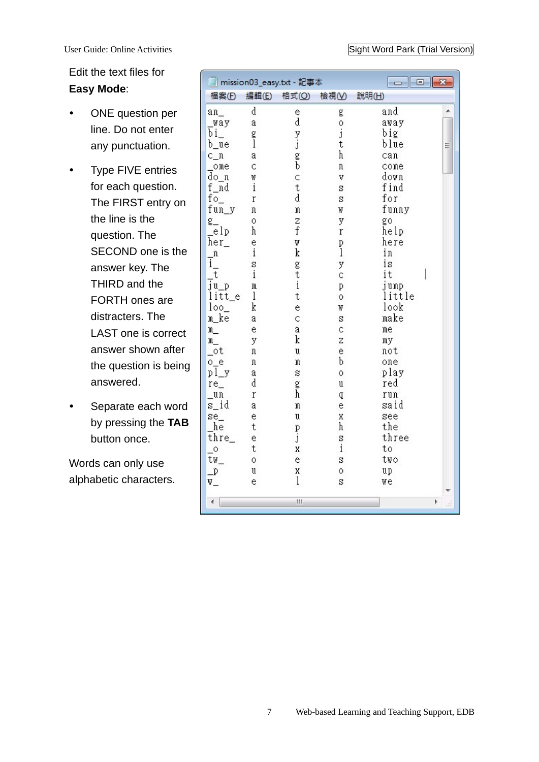Edit the text files for **Easy Mode**:

- ONE question per line. Do not enter any punctuation.
- Type FIVE entries for each question. The FIRST entry on the line is the question. The SECOND one is the answer key. The THIRD and the FORTH ones are distracters. The LAST one is correct answer shown after the question is being answered.
- Separate each word by pressing the **TAB** button once.

Words can only use alphabetic characters.

| mission03_easy.txt - 記事本         |              |           | $\Box$<br>$\mathbf{x}$<br>$\Box$ |             |         |  |
|----------------------------------|--------------|-----------|----------------------------------|-------------|---------|--|
| 福案(F)                            | 編輯(E)        | 格式(O)     | 檢視①                              | 說明(H)       |         |  |
| $an_$                            | d            |           | g                                | and         |         |  |
| way                              | a            | e<br>d    |                                  | away        |         |  |
| bi_                              | g<br>]       |           | 。<br>j                           | big         |         |  |
| b_ue                             |              | y.j<br>gb | t                                | blue        | Ξ       |  |
| $c_n$                            | a            |           | h                                | can         |         |  |
| _ome                             | Ċ            |           | n                                | come        |         |  |
| do_n                             | W            | Ċ         | V                                | down        |         |  |
| f_nd                             | $\mathbf{i}$ | t         | S                                | find        |         |  |
| $fo_$                            | r            | d         | $\mathbf s$                      | for         |         |  |
| fun_y                            | π            | M         | W                                | funny       |         |  |
| g_                               | 0            | Z         | y                                | go          |         |  |
| _elp                             | h            | f         | r                                | help        |         |  |
| her_                             | ė            | W         | p<br>1                           | here        |         |  |
| $\mathbf n$                      | $\mathbf{i}$ | k         |                                  | in          |         |  |
| i.                               | S            | g         | ÿ                                | is          |         |  |
| t                                | $\mathbf{i}$ | t<br>i    | Ċ                                | it          |         |  |
| $\overline{j}$ u_p               | m            |           | p                                | jump        |         |  |
| litt_e                           | 1            | t         | Ō                                | little      |         |  |
| $loo_$                           | k            | ė         | W                                | look        |         |  |
| m ke                             | a            | Ċ         | S                                | make        |         |  |
| $m_{-}$                          | ė            | a         | Ċ                                | me          |         |  |
| m                                | y            | k         | Z                                | mу          |         |  |
| $_{\circ}$ ot                    | n            | U         | ė                                | not         |         |  |
| $0_e$                            | 'n           | M         | b                                | one         |         |  |
| pl_y                             | a<br>d       | s         | Ō                                | play<br>red |         |  |
| $re_{-}$                         | r            | g<br>h    | U                                |             |         |  |
| _un<br>s_id                      | a            | M         | q<br>ė                           | run<br>said |         |  |
| $se$ <sub><math>-</math></sub>   | ė            | U         | X                                | see         |         |  |
| he                               | t            |           | h                                | the         |         |  |
| thre_                            | e            | p<br>j    | S                                | three       |         |  |
| $\overline{\phantom{0}}^{\circ}$ | t            | X         | $\mathrm{i}$                     | to          |         |  |
| tw                               | Ō            | ė         | S                                | two         |         |  |
| $\mathbb{P}$                     | u            | X         | Ō                                | up          |         |  |
| W_                               | e            | l         | S                                | we          |         |  |
|                                  |              |           |                                  |             |         |  |
| ∢                                |              | Ш         |                                  |             | Þ<br>ΔÎ |  |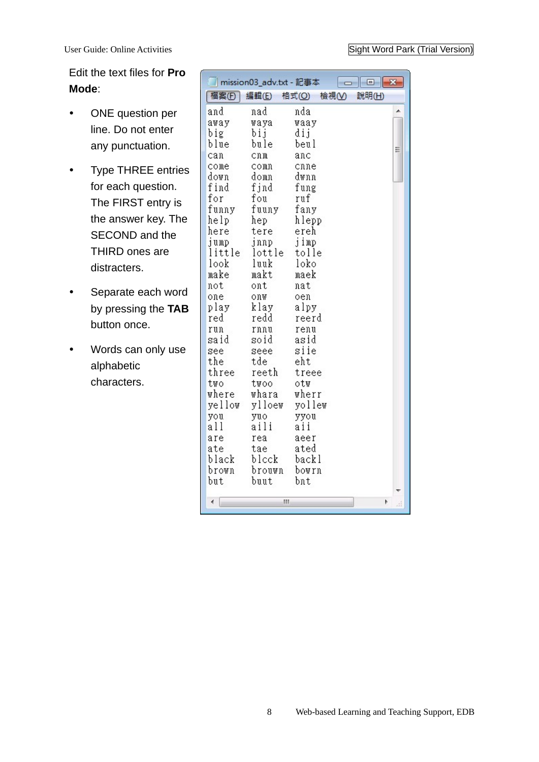Edit the text files for **Pro Mode**:

- ONE question per line. Do not enter any punctuation.
- Type THREE entries for each question. The FIRST entry is the answer key. The SECOND and the THIRD ones are distracters.
- Separate each word by pressing the **TAB** button once.
- Words can only use alphabetic characters.

|            | mission03_adv.txt - 記事本 |              | 回     |
|------------|-------------------------|--------------|-------|
| 福案(F)      | 編輯(E)                   | 格式(O)<br>檢視① | 說明(H) |
| and        | nad                     | nda          |       |
| away       | waya                    | waay         |       |
| big        | bij                     | dij          |       |
| blue       | bule                    | beul         | Ξ     |
| can        | cnm                     | anc          |       |
| come       | comn                    | cnne         |       |
| down       | domn                    | dwnn         |       |
| find       | fjnd                    | fung         |       |
| for        | fou                     | ruf          |       |
| funny      | fuuny                   | fany         |       |
| help       | hep                     | hlepp        |       |
| here       | tere                    | ereh         |       |
| jump       | jnnp                    | jimp         |       |
| little     | lottle                  | tolle        |       |
| look       | luuk                    | loko         |       |
| make       | makt                    | maek         |       |
| not        | ont                     | nat          |       |
| one        | onw                     | oen          |       |
| play       | klay                    | alpy         |       |
| red        | redd                    | reerd        |       |
| run        | rnnu                    | renu         |       |
| said       | soid                    | asid         |       |
| see        | seee                    | siie         |       |
| the        | tde                     | eht          |       |
| three      | reeth                   | treee        |       |
| two        | twoo                    | otw          |       |
| where      | whara                   | wherr        |       |
| yellow     | ylloew                  | yollew       |       |
| you<br>all | yuo<br>aili             | yyou<br>aii  |       |
| are        | rea                     | aeer         |       |
| ate        | tae                     | ated         |       |
| black      | blcck                   | backl        |       |
| brown      | brouwn                  | bowrn        |       |
| but        | buut                    | bnt          |       |
|            |                         |              |       |
|            | Ш                       |              | þ     |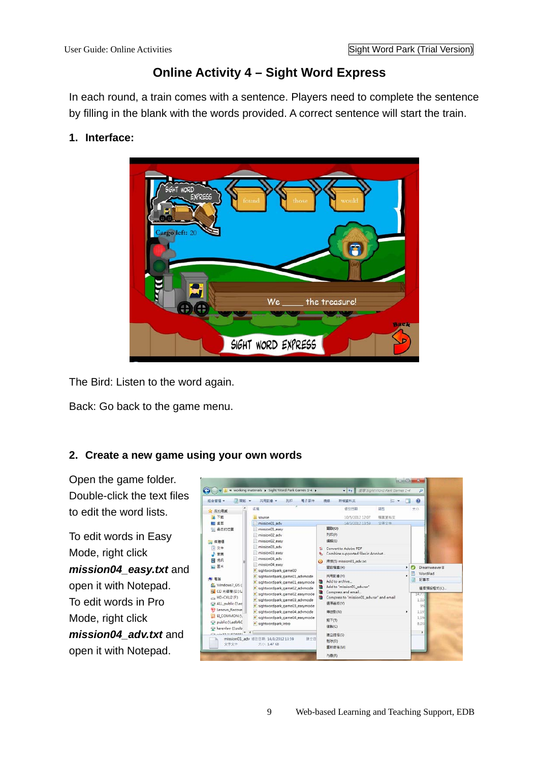## **Online Activity 4 – Sight Word Express**

In each round, a train comes with a sentence. Players need to complete the sentence by filling in the blank with the words provided. A correct sentence will start the train.

### **1. Interface:**



The Bird: Listen to the word again.

Back: Go back to the game menu.

#### **2. Create a new game using your own words**

Open the game folder. Double-click the text files to edit the word lists.

To edit words in Easy Mode, right click *mission04\_easy.txt* and open it with Notepad. To edit words in Pro Mode, right click *mission04\_adv.txt* and open it with Notepad.

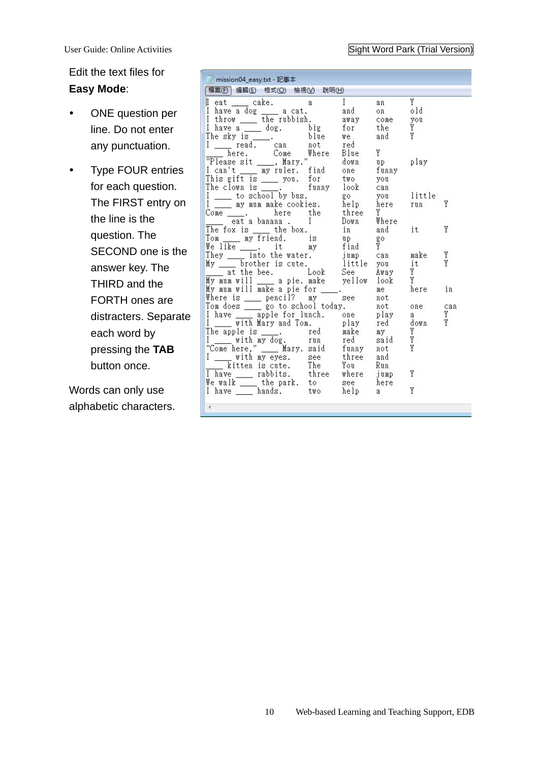#### User Guide: Online Activities Sight Word Park (Trial Version)

Edit the text files for **Easy Mode**:

- ONE question per line. Do not enter any punctuation.
- Type FOUR entries for each question. The FIRST entry on the line is the question. The SECOND one is the answer key. The THIRD and the FORTH ones are distracters. Separate each word by pressing the **TAB** button once.

Words can only use alphabetic characters.

| mission04_easy.txt - 記事本                                                                                                                                                                                                                                                                                                                                                               |              |                                                                    |         |  |  |  |  |
|----------------------------------------------------------------------------------------------------------------------------------------------------------------------------------------------------------------------------------------------------------------------------------------------------------------------------------------------------------------------------------------|--------------|--------------------------------------------------------------------|---------|--|--|--|--|
| 福案(F) 編輯(E) 格式(◎) 檢視(◇) 說明(H)                                                                                                                                                                                                                                                                                                                                                          |              |                                                                    |         |  |  |  |  |
| I eat _____ cake. a ____ I<br>I have a dog _____ a cat. and<br>I throw ___ the rubbish. away come you<br>I have a dog. big for<br>The sky is  blue we<br>I read. can not red<br>I here. Come Where Blue<br>"Please sit , Mary." down                                                                                                                                                   | $\mathbf{I}$ | Y<br>an<br>on old<br>the <i>Y</i><br>Y<br>and<br>Y<br>down up play |         |  |  |  |  |
| I can't ___ my ruler. find one<br>Come 2. here the three<br>eat a banana . I Down                                                                                                                                                                                                                                                                                                      |              | funny<br>Y<br>Where                                                | Y       |  |  |  |  |
| The fox is $\frac{1}{\sqrt{2}}$ the box.                                                                                                                                                                                                                                                                                                                                               | in           | and it                                                             | Y       |  |  |  |  |
| Tom my friend. is up<br>We like it my find Y<br>They into the water. jump can make<br>My bother is cute. little you it<br>at the bee. Look See Away Y<br>The international state of the spall of the Many Y<br>The state of the spall of t<br>My mum will _____ a pie. make yellow                                                                                                     |              | Y<br>look                                                          | Y<br>Y  |  |  |  |  |
| ny mum will make a pie for ____.<br>My mum will make a pie for ____.<br>Where is                                                                                                                                                                                                                                                                                                       |              | me<br>here in<br>not                                               |         |  |  |  |  |
| Tom does ______ go to school today.<br>I have ______ apple for lunch. one play<br>I with Mary and Tom. play red down<br>The apple is ____. red make my Y<br>I with my dog. run red said Y<br>"Come here," ___ Mary. said funny not Y<br>I ___ with my eyes. see three and<br>kitten is cute. The You<br>We walk the where jump<br>We walk to see here<br>I have hands. two help a<br>∢ |              | not one can<br>a a<br>Run<br>Y<br>Y                                | Y<br>Y. |  |  |  |  |